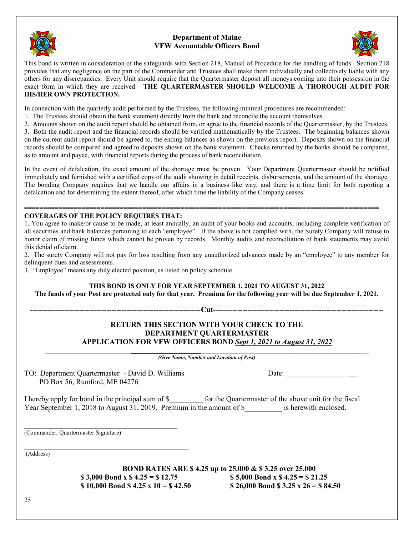

### **Department of Maine VFW Accountable Officers Bond**



This bond is written in consideration of the safeguards with Section 218, Manual of Procedure for the handling of funds. Section 218 provides that any negligence on the part of the Commander and Trustees shall make them individually and collectively liable with any others for any discrepancies. Every Unit should require that the Quartermaster deposit all moneys coming into their possession in the exact form in which they are received. **THE QUARTERMASTER SHOULD WELCOME A THOROUGH AUDIT FOR HIS/HER OWN PROTECTION.** 

In connection with the quarterly audit performed by the Trustees, the following minimal procedures are recommended:

- 1. The Trustees should obtain the bank statement directly from the bank and reconcile the account themselves.
- 2. Amounts shown on the audit report should be obtained from, or agree to the financial records of the Quartermaster, by the Trustees.

3. Both the audit report and the financial records should be verified mathematically by the Trustees. The beginning balances shown on the current audit report should be agreed to, the ending balances as shown on the previous report. Deposits shown on the financial records should be compared and agreed to deposits shown on the bank statement. Checks returned by the banks should be compared, as to amount and payee, with financial reports during the process of bank reconciliation.

In the event of defalcation, the exact amount of the shortage must be proven. Your Department Quartermaster should be notified immediately and furnished with a certified copy of the audit showing in detail receipts, disbursements, and the amount of the shortage. The bonding Company requires that we handle our affairs in a business like way, and there is a time limit for both reporting a defalcation and for determining the extent thereof, after which time the liability of the Company ceases.

#### ============================================================================================= **COVERAGES OF THE POLICY REQUIRES THAT:**

1. You agree to make/or cause to be made, at least annually, an audit of your books and accounts, including complete verification of all securities and bank balances pertaining to each "employee". If the above is not complied with, the Surety Company will refuse to honor claim of missing funds which cannot be proven by records. Monthly audits and reconciliation of bank statements may avoid this denial of claim.

2. The surety Company will not pay for loss resulting from any unauthorized advances made by an "employee" to any member for delinquent dues and assessments.

3. "Employee" means any duly elected position, as listed on policy schedule.

#### **THIS BOND IS ONLY FOR YEAR SEPTEMBER 1, 2021 TO AUGUST 31, 2022 The funds of your Post are protected only for that year. Premium for the following year will be due September 1, 2021.**

**---------------------------------------------------------------------Cut---------------------------------------------------------------------** 

### **RETURN THIS SECTION WITH YOUR CHECK TO THE DEPARTMENT QUARTERMASTER APPLICATION FOR VFW OFFICERS BOND** *Sept 1, 2021 to August 31, 2022*

\_\_\_\_\_\_\_\_\_\_\_\_\_\_\_\_\_\_\_\_\_\_\_\_\_\_\_\_\_\_\_\_\_\_\_\_\_\_\_\_\_\_\_\_\_\_\_\_\_\_\_\_\_\_\_\_\_\_\_\_\_\_\_\_\_\_\_\_\_\_\_\_\_\_\_\_\_\_\_\_\_\_\_\_\_\_\_ *(Give Name, Number and Location of Post)* 

TO: Department Quartermaster - David D. Williams Date: Date: 2008. PO Box 56, Rumford, ME 04276

\_\_\_\_\_\_\_\_\_\_\_\_\_\_\_\_\_\_\_\_\_\_\_\_\_\_\_\_\_\_\_\_\_\_\_\_\_\_\_\_\_\_\_\_\_\_\_\_\_\_\_\_\_\_

I hereby apply for bond in the principal sum of \$ for the Quartermaster of the above unit for the fiscal Year September 1, 2018 to August 31, 2019. Premium in the amount of \$ \_\_\_\_\_\_\_ is herewith enclosed.

 $\mathcal{L}=\{1,2,3,4,5\}$ (Commander, Quartermaster Signature)

(Address)

**BOND RATES ARE \$ 4.25 up to 25.000 & \$ 3.25 over 25.000 \$ 3,000 Bond x \$ 4.25 = \$ 12.75** \$ 5,000 Bond x \$ 4.25 = \$ 21.25 \$ 10,000 Bond \$ 4.25 x 10 = \$ 42.50 \$ 26,000 Bond \$ 3.25 x 26 = \$ 84.50

25